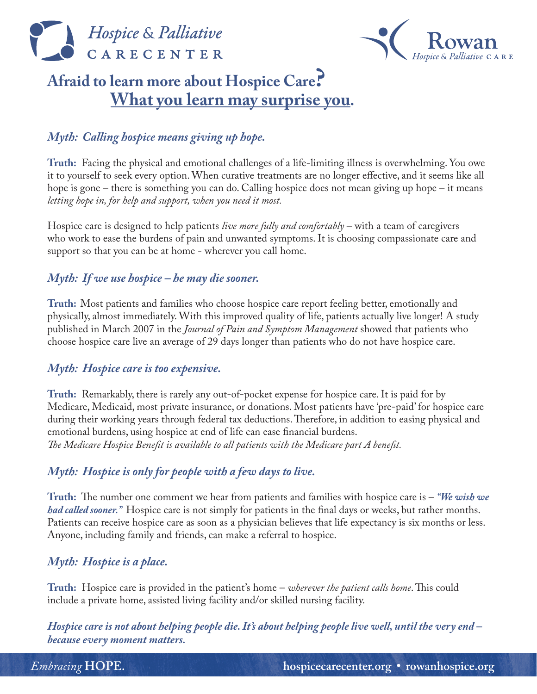



# Afraid to learn more about Hospice Care?<br>What you learn may surprise you.

### *Myth: Calling hospice means giving up hope.*

**Truth:** Facing the physical and emotional challenges of a life-limiting illness is overwhelming. You owe it to yourself to seek every option. When curative treatments are no longer effective, and it seems like all hope is gone – there is something you can do. Calling hospice does not mean giving up hope – it means *letting hope in, for help and support, when you need it most.* 

Hospice care is designed to help patients *live more fully and comfortably* – with a team of caregivers who work to ease the burdens of pain and unwanted symptoms. It is choosing compassionate care and support so that you can be at home - wherever you call home.

#### *Myth: If we use hospice – he may die sooner.*

**Truth:** Most patients and families who choose hospice care report feeling better, emotionally and physically, almost immediately. With this improved quality of life, patients actually live longer! A study published in March 2007 in the *Journal of Pain and Symptom Management* showed that patients who choose hospice care live an average of 29 days longer than patients who do not have hospice care.

#### *Myth: Hospice care is too expensive.*

**Truth:** Remarkably, there is rarely any out-of-pocket expense for hospice care. It is paid for by Medicare, Medicaid, most private insurance, or donations. Most patients have 'pre-paid' for hospice care during their working years through federal tax deductions. Therefore, in addition to easing physical and emotional burdens, using hospice at end of life can ease financial burdens. *The Medicare Hospice Benefit is available to all patients with the Medicare part A benefit.* 

#### *Myth: Hospice is only for people with a few days to live.*

**Truth:** The number one comment we hear from patients and families with hospice care is – *"We wish we had called sooner."*Hospice care is not simply for patients in the final days or weeks, but rather months. Patients can receive hospice care as soon as a physician believes that life expectancy is six months or less. Anyone, including family and friends, can make a referral to hospice.

#### *Myth: Hospice is a place.*

**Truth:** Hospice care is provided in the patient's home – *wherever the patient calls home*. This could include a private home, assisted living facility and/or skilled nursing facility.

*Hospice care is not about helping people die. It's about helping people live well, until the very end – because every moment matters.*